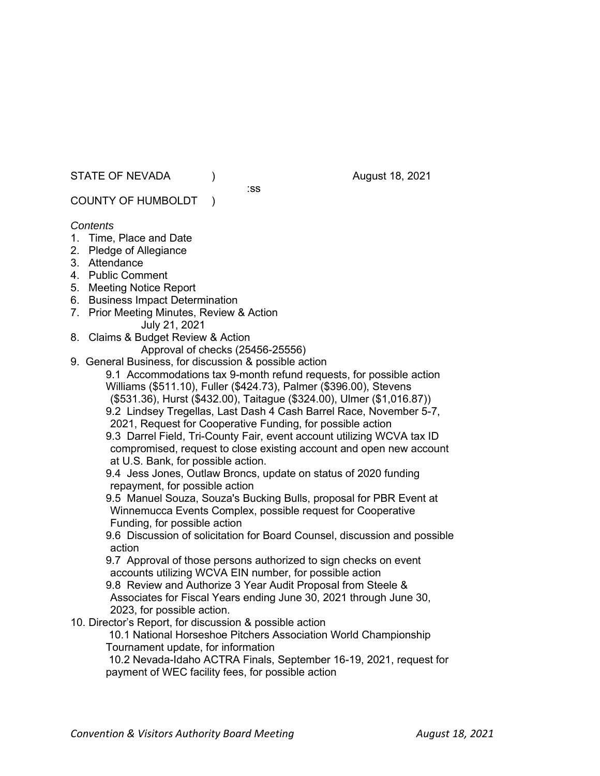STATE OF NEVADA (a) and the contract of the contract of the August 18, 2021

:ss

COUNTY OF HUMBOLDT )

# *Contents*

- 1. Time, Place and Date
- 2. Pledge of Allegiance
- 3. Attendance
- 4. Public Comment
- 5. Meeting Notice Report
- 6. Business Impact Determination
- 7. Prior Meeting Minutes, Review & Action July 21, 2021
- 8. Claims & Budget Review & Action

Approval of checks (25456-25556)

- 9. General Business, for discussion & possible action
	- 9.1 Accommodations tax 9-month refund requests, for possible action Williams (\$511.10), Fuller (\$424.73), Palmer (\$396.00), Stevens
	- (\$531.36), Hurst (\$432.00), Taitague (\$324.00), Ulmer (\$1,016.87))
	- 9.2 Lindsey Tregellas, Last Dash 4 Cash Barrel Race, November 5-7, 2021, Request for Cooperative Funding, for possible action

9.3 Darrel Field, Tri-County Fair, event account utilizing WCVA tax ID compromised, request to close existing account and open new account at U.S. Bank, for possible action.

9.4 Jess Jones, Outlaw Broncs, update on status of 2020 funding repayment, for possible action

9.5 Manuel Souza, Souza's Bucking Bulls, proposal for PBR Event at Winnemucca Events Complex, possible request for Cooperative Funding, for possible action

- 9.6 Discussion of solicitation for Board Counsel, discussion and possible action
- 9.7 Approval of those persons authorized to sign checks on event accounts utilizing WCVA EIN number, for possible action
- 9.8 Review and Authorize 3 Year Audit Proposal from Steele & Associates for Fiscal Years ending June 30, 2021 through June 30, 2023, for possible action.
- 10. Director's Report, for discussion & possible action

10.1 National Horseshoe Pitchers Association World Championship Tournament update, for information

10.2 Nevada-Idaho ACTRA Finals, September 16-19, 2021, request for payment of WEC facility fees, for possible action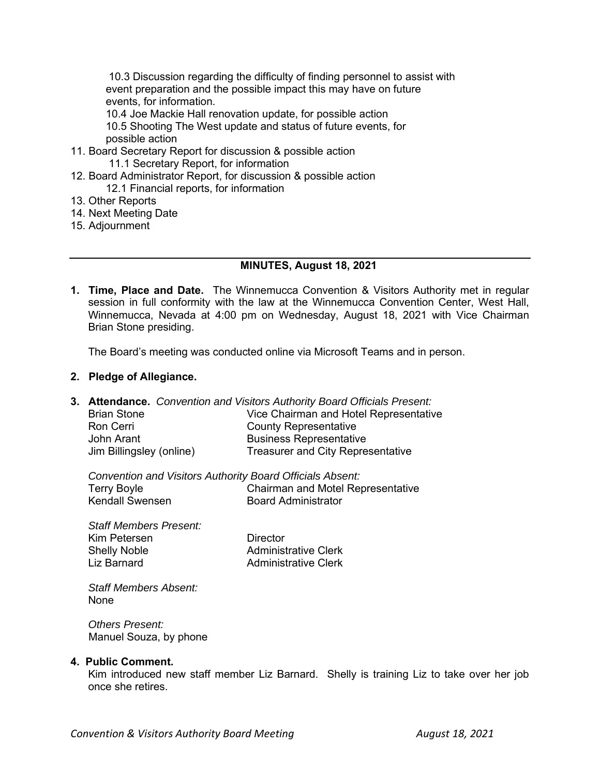10.3 Discussion regarding the difficulty of finding personnel to assist with event preparation and the possible impact this may have on future events, for information.

10.4 Joe Mackie Hall renovation update, for possible action 10.5 Shooting The West update and status of future events, for possible action

- 11. Board Secretary Report for discussion & possible action 11.1 Secretary Report, for information
- 12. Board Administrator Report, for discussion & possible action 12.1 Financial reports, for information
- 13. Other Reports
- 14. Next Meeting Date
- 15. Adjournment

### **MINUTES, August 18, 2021**

**1. Time, Place and Date.** The Winnemucca Convention & Visitors Authority met in regular session in full conformity with the law at the Winnemucca Convention Center, West Hall, Winnemucca, Nevada at 4:00 pm on Wednesday, August 18, 2021 with Vice Chairman Brian Stone presiding.

The Board's meeting was conducted online via Microsoft Teams and in person.

# **2. Pledge of Allegiance.**

**3. Attendance.** *Convention and Visitors Authority Board Officials Present:*

| <b>Brian Stone</b>       | Vice Chairman and Hotel Representative   |
|--------------------------|------------------------------------------|
| Ron Cerri                | <b>County Representative</b>             |
| John Arant               | <b>Business Representative</b>           |
| Jim Billingsley (online) | <b>Treasurer and City Representative</b> |
|                          |                                          |

*Convention and Visitors Authority Board Officials Absent:* Terry Boyle Chairman and Motel Representative **Board Administrator** 

*Staff Members Present:* Kim Petersen **Director** Shelly Noble<br>
Liz Barnard Administrative Clerk

Administrative Clerk

*Staff Members Absent:* None

*Others Present:* Manuel Souza, by phone

#### **4. Public Comment.**

Kim introduced new staff member Liz Barnard. Shelly is training Liz to take over her job once she retires.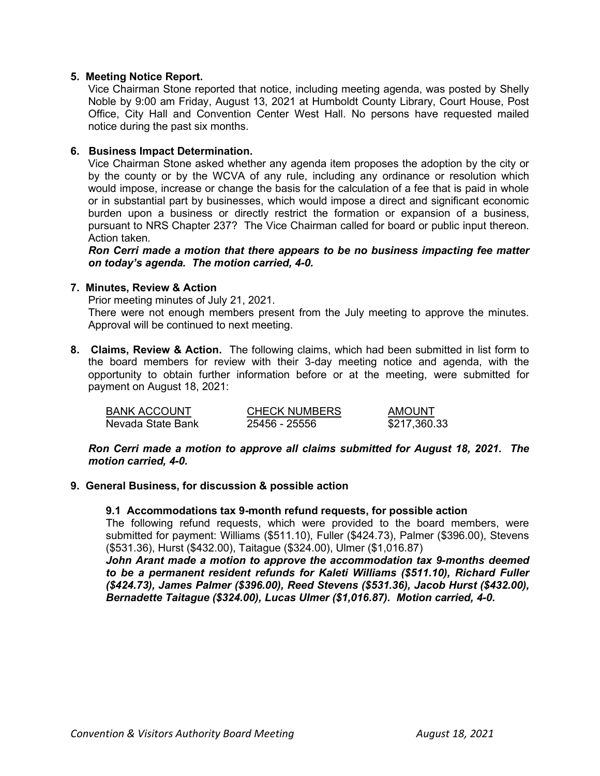# **5. Meeting Notice Report.**

Vice Chairman Stone reported that notice, including meeting agenda, was posted by Shelly Noble by 9:00 am Friday, August 13, 2021 at Humboldt County Library, Court House, Post Office, City Hall and Convention Center West Hall. No persons have requested mailed notice during the past six months.

### **6. Business Impact Determination.**

Vice Chairman Stone asked whether any agenda item proposes the adoption by the city or by the county or by the WCVA of any rule, including any ordinance or resolution which would impose, increase or change the basis for the calculation of a fee that is paid in whole or in substantial part by businesses, which would impose a direct and significant economic burden upon a business or directly restrict the formation or expansion of a business, pursuant to NRS Chapter 237? The Vice Chairman called for board or public input thereon. Action taken.

*Ron Cerri made a motion that there appears to be no business impacting fee matter on today's agenda. The motion carried, 4-0.*

#### **7. Minutes, Review & Action**

Prior meeting minutes of July 21, 2021.

There were not enough members present from the July meeting to approve the minutes. Approval will be continued to next meeting.

**8. Claims, Review & Action.** The following claims, which had been submitted in list form to the board members for review with their 3-day meeting notice and agenda, with the opportunity to obtain further information before or at the meeting, were submitted for payment on August 18, 2021:

| <b>BANK ACCOUNT</b> | <b>CHECK NUMBERS</b> | <b>AMOUNT</b> |
|---------------------|----------------------|---------------|
| Nevada State Bank   | 25456 - 25556        | \$217,360.33  |

*Ron Cerri made a motion to approve all claims submitted for August 18, 2021. The motion carried, 4-0.*

#### **9. General Business, for discussion & possible action**

#### **9.1 Accommodations tax 9-month refund requests, for possible action**

The following refund requests, which were provided to the board members, were submitted for payment: Williams (\$511.10), Fuller (\$424.73), Palmer (\$396.00), Stevens (\$531.36), Hurst (\$432.00), Taitague (\$324.00), Ulmer (\$1,016.87)

*John Arant made a motion to approve the accommodation tax 9-months deemed to be a permanent resident refunds for Kaleti Williams (\$511.10), Richard Fuller (\$424.73), James Palmer (\$396.00), Reed Stevens (\$531.36), Jacob Hurst (\$432.00), Bernadette Taitague (\$324.00), Lucas Ulmer (\$1,016.87). Motion carried, 4-0.*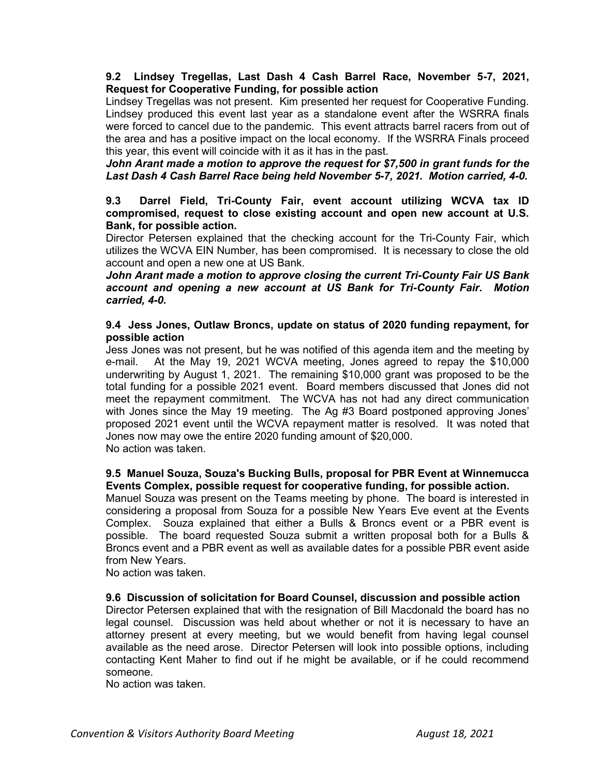# **9.2 Lindsey Tregellas, Last Dash 4 Cash Barrel Race, November 5-7, 2021, Request for Cooperative Funding, for possible action**

Lindsey Tregellas was not present. Kim presented her request for Cooperative Funding. Lindsey produced this event last year as a standalone event after the WSRRA finals were forced to cancel due to the pandemic. This event attracts barrel racers from out of the area and has a positive impact on the local economy. If the WSRRA Finals proceed this year, this event will coincide with it as it has in the past.

*John Arant made a motion to approve the request for \$7,500 in grant funds for the Last Dash 4 Cash Barrel Race being held November 5-7, 2021. Motion carried, 4-0.* 

# **9.3 Darrel Field, Tri-County Fair, event account utilizing WCVA tax ID compromised, request to close existing account and open new account at U.S. Bank, for possible action.**

Director Petersen explained that the checking account for the Tri-County Fair, which utilizes the WCVA EIN Number, has been compromised. It is necessary to close the old account and open a new one at US Bank.

*John Arant made a motion to approve closing the current Tri-County Fair US Bank account and opening a new account at US Bank for Tri-County Fair. Motion carried, 4-0.* 

# **9.4 Jess Jones, Outlaw Broncs, update on status of 2020 funding repayment, for possible action**

Jess Jones was not present, but he was notified of this agenda item and the meeting by e-mail. At the May 19, 2021 WCVA meeting, Jones agreed to repay the \$10,000 underwriting by August 1, 2021. The remaining \$10,000 grant was proposed to be the total funding for a possible 2021 event. Board members discussed that Jones did not meet the repayment commitment. The WCVA has not had any direct communication with Jones since the May 19 meeting. The Ag #3 Board postponed approving Jones' proposed 2021 event until the WCVA repayment matter is resolved. It was noted that Jones now may owe the entire 2020 funding amount of \$20,000. No action was taken.

# **9.5 Manuel Souza, Souza's Bucking Bulls, proposal for PBR Event at Winnemucca Events Complex, possible request for cooperative funding, for possible action.**

Manuel Souza was present on the Teams meeting by phone. The board is interested in considering a proposal from Souza for a possible New Years Eve event at the Events Complex. Souza explained that either a Bulls & Broncs event or a PBR event is possible. The board requested Souza submit a written proposal both for a Bulls & Broncs event and a PBR event as well as available dates for a possible PBR event aside from New Years.

No action was taken.

# **9.6 Discussion of solicitation for Board Counsel, discussion and possible action**

Director Petersen explained that with the resignation of Bill Macdonald the board has no legal counsel. Discussion was held about whether or not it is necessary to have an attorney present at every meeting, but we would benefit from having legal counsel available as the need arose. Director Petersen will look into possible options, including contacting Kent Maher to find out if he might be available, or if he could recommend someone.

No action was taken.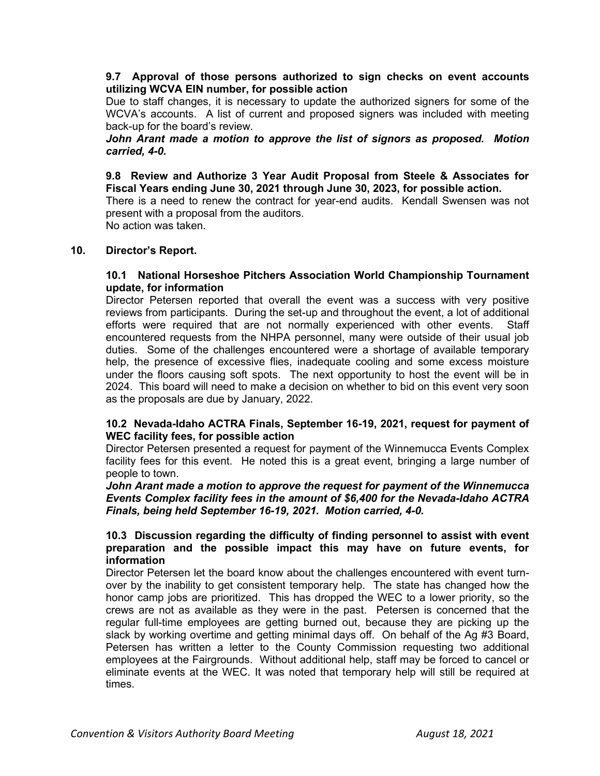# **9.7 Approval of those persons authorized to sign checks on event accounts utilizing WCVA EIN number, for possible action**

Due to staff changes, it is necessary to update the authorized signers for some of the WCVA's accounts. A list of current and proposed signers was included with meeting back-up for the board's review.

# *John Arant made a motion to approve the list of signors as proposed. Motion carried, 4-0.*

**9.8 Review and Authorize 3 Year Audit Proposal from Steele & Associates for Fiscal Years ending June 30, 2021 through June 30, 2023, for possible action.**

There is a need to renew the contract for year-end audits. Kendall Swensen was not present with a proposal from the auditors.

No action was taken.

# **10. Director's Report.**

### **10.1 National Horseshoe Pitchers Association World Championship Tournament update, for information**

Director Petersen reported that overall the event was a success with very positive reviews from participants. During the set-up and throughout the event, a lot of additional efforts were required that are not normally experienced with other events. Staff encountered requests from the NHPA personnel, many were outside of their usual job duties. Some of the challenges encountered were a shortage of available temporary help, the presence of excessive flies, inadequate cooling and some excess moisture under the floors causing soft spots. The next opportunity to host the event will be in 2024. This board will need to make a decision on whether to bid on this event very soon as the proposals are due by January, 2022.

# **10.2 Nevada-Idaho ACTRA Finals, September 16-19, 2021, request for payment of WEC facility fees, for possible action**

Director Petersen presented a request for payment of the Winnemucca Events Complex facility fees for this event. He noted this is a great event, bringing a large number of people to town.

### *John Arant made a motion to approve the request for payment of the Winnemucca Events Complex facility fees in the amount of \$6,400 for the Nevada-Idaho ACTRA Finals, being held September 16-19, 2021. Motion carried, 4-0.*

# **10.3 Discussion regarding the difficulty of finding personnel to assist with event preparation and the possible impact this may have on future events, for information**

Director Petersen let the board know about the challenges encountered with event turnover by the inability to get consistent temporary help. The state has changed how the honor camp jobs are prioritized. This has dropped the WEC to a lower priority, so the crews are not as available as they were in the past. Petersen is concerned that the regular full-time employees are getting burned out, because they are picking up the slack by working overtime and getting minimal days off. On behalf of the Ag #3 Board, Petersen has written a letter to the County Commission requesting two additional employees at the Fairgrounds. Without additional help, staff may be forced to cancel or eliminate events at the WEC. It was noted that temporary help will still be required at times.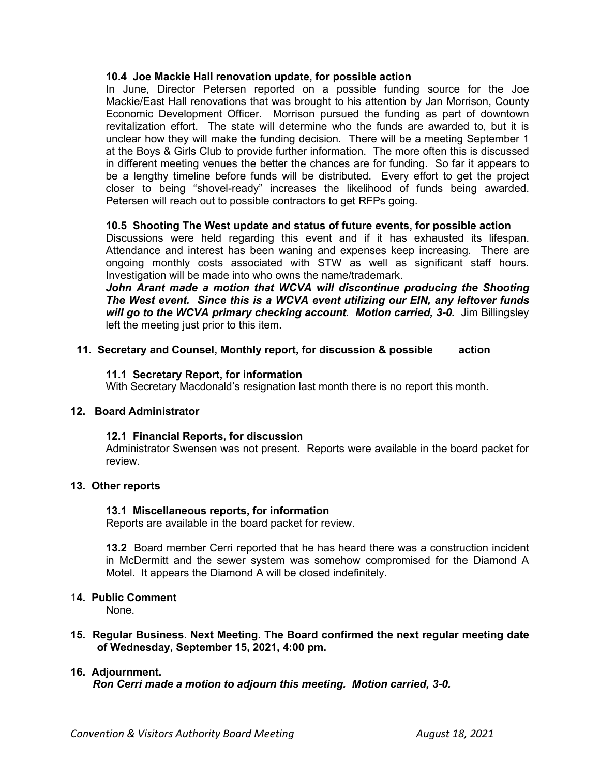# **10.4 Joe Mackie Hall renovation update, for possible action**

In June, Director Petersen reported on a possible funding source for the Joe Mackie/East Hall renovations that was brought to his attention by Jan Morrison, County Economic Development Officer. Morrison pursued the funding as part of downtown revitalization effort. The state will determine who the funds are awarded to, but it is unclear how they will make the funding decision. There will be a meeting September 1 at the Boys & Girls Club to provide further information. The more often this is discussed in different meeting venues the better the chances are for funding. So far it appears to be a lengthy timeline before funds will be distributed. Every effort to get the project closer to being "shovel-ready" increases the likelihood of funds being awarded. Petersen will reach out to possible contractors to get RFPs going.

# **10.5 Shooting The West update and status of future events, for possible action**

Discussions were held regarding this event and if it has exhausted its lifespan. Attendance and interest has been waning and expenses keep increasing. There are ongoing monthly costs associated with STW as well as significant staff hours. Investigation will be made into who owns the name/trademark.

*John Arant made a motion that WCVA will discontinue producing the Shooting The West event. Since this is a WCVA event utilizing our EIN, any leftover funds will go to the WCVA primary checking account. Motion carried, 3-0.* Jim Billingsley left the meeting just prior to this item.

# **11. Secretary and Counsel, Monthly report, for discussion & possible action**

#### **11.1 Secretary Report, for information**

With Secretary Macdonald's resignation last month there is no report this month.

# **12. Board Administrator**

#### **12.1 Financial Reports, for discussion**

Administrator Swensen was not present. Reports were available in the board packet for review.

#### **13. Other reports**

#### **13.1 Miscellaneous reports, for information**

Reports are available in the board packet for review.

**13.2** Board member Cerri reported that he has heard there was a construction incident in McDermitt and the sewer system was somehow compromised for the Diamond A Motel. It appears the Diamond A will be closed indefinitely.

#### 1**4. Public Comment**

None.

**15. Regular Business. Next Meeting. The Board confirmed the next regular meeting date of Wednesday, September 15, 2021, 4:00 pm.** 

#### **16. Adjournment.**

*Ron Cerri made a motion to adjourn this meeting. Motion carried, 3-0.*